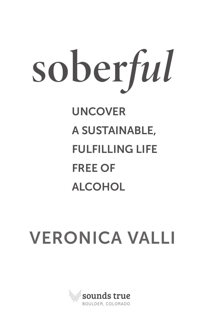# sober*ful* UNCOVER A SUSTAINABLE, FULFILLING LIFE FREE OF ALCOHOL

# VERONICA VALLI

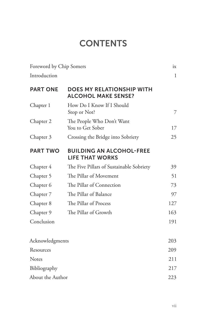## **CONTENTS**

| Foreword by Chip Somers |                                                           | ix           |
|-------------------------|-----------------------------------------------------------|--------------|
| Introduction            |                                                           | $\mathbf{1}$ |
| <b>PART ONE</b>         | DOES MY RELATIONSHIP WITH<br><b>ALCOHOL MAKE SENSE?</b>   |              |
| Chapter 1               | How Do I Know If I Should<br>Stop or Not?                 | 7            |
| Chapter 2               | The People Who Don't Want<br>You to Get Sober             | 17           |
| Chapter 3               | Crossing the Bridge into Sobriety                         | 25           |
| <b>PART TWO</b>         | <b>BUILDING AN ALCOHOL-FREE</b><br><b>LIFE THAT WORKS</b> |              |
| Chapter 4               | The Five Pillars of Sustainable Sobriety                  | 39           |
| Chapter 5               | The Pillar of Movement                                    | 51           |
| Chapter 6               | The Pillar of Connection                                  | 73           |
| Chapter 7               | The Pillar of Balance                                     | 97           |
| Chapter 8               | The Pillar of Process                                     | 127          |
| Chapter 9               | The Pillar of Growth                                      | 163          |
| Conclusion              |                                                           | 191          |
| Acknowledgments         |                                                           | 203          |
| Resources               |                                                           | 209          |
| <b>Notes</b>            |                                                           | 211          |
| Bibliography            |                                                           | 217          |
| About the Author        |                                                           | 223          |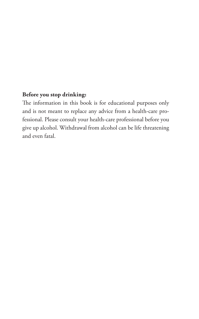#### **Before you stop drinking:**

The information in this book is for educational purposes only and is not meant to replace any advice from a health-care professional. Please consult your health-care professional before you give up alcohol. Withdrawal from alcohol can be life threatening and even fatal.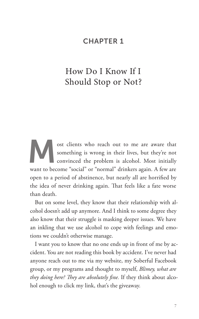#### CHAPTER 1

### How Do I Know If I Should Stop or Not?

ost clients who reach out to me are aware that<br>something is wrong in their lives, but they're not<br>convinced the problem is alcohol. Most initially something is wrong in their lives, but they're not convinced the problem is alcohol. Most initially want to become "social" or "normal" drinkers again. A few are open to a period of abstinence, but nearly all are horrified by the idea of never drinking again. That feels like a fate worse than death.

But on some level, they know that their relationship with alcohol doesn't add up anymore. And I think to some degree they also know that their struggle is masking deeper issues. We have an inkling that we use alcohol to cope with feelings and emotions we couldn't otherwise manage.

I want you to know that no one ends up in front of me by accident. You are not reading this book by accident. I've never had anyone reach out to me via my website, my Soberful Facebook group, or my programs and thought to myself, *Blimey, what are they doing here? They are absolutely fine.* If they think about alcohol enough to click my link, that's the giveaway.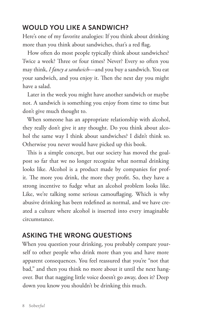#### WOULD YOU LIKE A SANDWICH?

Here's one of my favorite analogies: If you think about drinking more than you think about sandwiches, that's a red flag.

How often do most people typically think about sandwiches? Twice a week? Three or four times? Never? Every so often you may think, *I fancy a sandwich*—and you buy a sandwich. You eat your sandwich, and you enjoy it. Then the next day you might have a salad.

Later in the week you might have another sandwich or maybe not. A sandwich is something you enjoy from time to time but don't give much thought to.

When someone has an appropriate relationship with alcohol, they really don't give it any thought. Do you think about alcohol the same way I think about sandwiches? I didn't think so. Otherwise you never would have picked up this book.

This is a simple concept, but our society has moved the goalpost so far that we no longer recognize what normal drinking looks like. Alcohol is a product made by companies for profit. The more you drink, the more they profit. So, they have a strong incentive to fudge what an alcohol problem looks like. Like, we're talking some serious camouflaging. Which is why abusive drinking has been redefined as normal, and we have created a culture where alcohol is inserted into every imaginable circumstance.

#### ASKING THE WRONG QUESTIONS

When you question your drinking, you probably compare yourself to other people who drink more than you and have more apparent consequences. You feel reassured that you're "not that bad," and then you think no more about it until the next hangover. But that nagging little voice doesn't go away, does it? Deep down you know you shouldn't be drinking this much.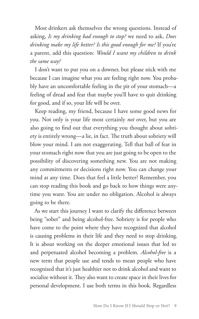Most drinkers ask themselves the wrong questions. Instead of asking, *Is my drinking bad enough to stop?* we need to ask, *Does drinking make my life better? Is this good enough for me?* If you're a parent, add this question: *Would I want my children to drink the same way?*

I don't want to put you on a downer, but please stick with me because I can imagine what you are feeling right now. You probably have an uncomfortable feeling in the pit of your stomach—a feeling of dread and fear that maybe you'll have to quit drinking for good, and if so, your life will be over.

Keep reading, my friend, because I have some good news for you. Not only is your life most certainly *not* over, but you are also going to find out that everything you thought about sobriety is entirely wrong—a lie, in fact. The truth about sobriety will blow your mind. I am not exaggerating. Tell that ball of fear in your stomach right now that you are just going to be open to the possibility of discovering something new. You are not making any commitments or decisions right now. You can change your mind at any time. Does that feel a little better? Remember, you can stop reading this book and go back to how things were anytime you want. You are under no obligation. Alcohol is always going to be there.

As we start this journey I want to clarify the difference between being "sober" and being alcohol-free. Sobriety is for people who have come to the point where they have recognized that alcohol is causing problems in their life and they need to stop drinking. It is about working on the deeper emotional issues that led to and perpetuated alcohol becoming a problem. *Alcohol-free* is a new term that people use and tends to mean people who have recognized that it's just healthier not to drink alcohol and want to socialize without it. They also want to create space in their lives for personal development. I use both terms in this book. Regardless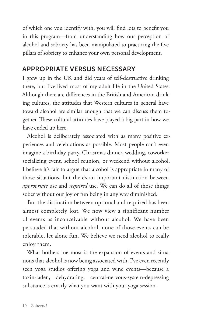of which one you identify with, you will find lots to benefit you in this program—from understanding how our perception of alcohol and sobriety has been manipulated to practicing the five pillars of sobriety to enhance your own personal development.

#### APPROPRIATE VERSUS NECESSARY

I grew up in the UK and did years of self-destructive drinking there, but I've lived most of my adult life in the United States. Although there are differences in the British and American drinking cultures, the attitudes that Western cultures in general have toward alcohol are similar enough that we can discuss them together. These cultural attitudes have played a big part in how we have ended up here.

Alcohol is deliberately associated with as many positive experiences and celebrations as possible. Most people can't even imagine a birthday party, Christmas dinner, wedding, coworker socializing event, school reunion, or weekend without alcohol. I believe it's fair to argue that alcohol is appropriate in many of those situations, but there's an important distinction between *appropriate* use and *required* use. We can do all of those things sober without our joy or fun being in any way diminished.

But the distinction between optional and required has been almost completely lost. We now view a significant number of events as inconceivable without alcohol. We have been persuaded that without alcohol, none of those events can be tolerable, let alone fun. We believe we need alcohol to really enjoy them.

What bothers me most is the expansion of events and situations that alcohol is now being associated with. I've even recently seen yoga studios offering yoga and wine events—because a toxin-laden, dehydrating, central-nervous-system-depressing substance is exactly what you want with your yoga session.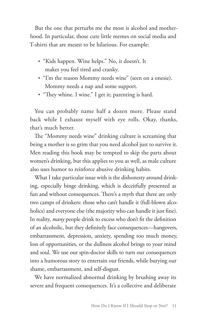But the one that perturbs me the most is alcohol and motherhood. In particular, those cute little memes on social media and T-shirts that are meant to be hilarious. For example:

- ʶ "Kids happen. Wine helps." No, it doesn't. It makes you feel tired and cranky.
- ʶ "I'm the reason Mommy needs wine" (seen on a onesie). Mommy needs a nap and some support.
- "They whine. I wine." I get it; parenting is hard.

You can probably name half a dozen more. Please stand back while I exhaust myself with eye rolls. Okay, thanks, that's much better.

The "Mommy needs wine" drinking culture is screaming that being a mother is so grim that you need alcohol just to survive it. Men reading this book may be tempted to skip the parts about women's drinking, but this applies to you as well, as male culture also uses humor to reinforce abusive drinking habits.

What I take particular issue with is the dishonesty around drinking, especially binge drinking, which is deceitfully presented as fun and without consequences. There's a myth that there are only two camps of drinkers: those who can't handle it (full-blown alcoholics) and everyone else (the majority who can handle it just fine). In reality, *many* people drink to excess who don't fit the definition of an alcoholic, but they definitely face consequences—hangovers, embarrassment, depression, anxiety, spending too much money, loss of opportunities, or the dullness alcohol brings to your mind and soul. We use our spin-doctor skills to turn our consequences into a humorous story to entertain our friends, while burying our shame, embarrassment, and self-disgust.

We have normalized abnormal drinking by brushing away its severe and frequent consequences. It's a collective and deliberate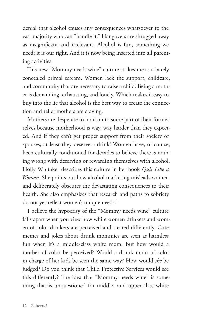denial that alcohol causes any consequences whatsoever to the vast majority who can "handle it." Hangovers are shrugged away as insignificant and irrelevant. Alcohol is fun, something we need; it is our right. And it is now being inserted into all parenting activities.

This new "Mommy needs wine" culture strikes me as a barely concealed primal scream. Women lack the support, childcare, and community that are necessary to raise a child. Being a mother is demanding, exhausting, and lonely. Which makes it easy to buy into the lie that alcohol is the best way to create the connection and relief mothers are craving.

Mothers are desperate to hold on to some part of their former selves because motherhood is way, way harder than they expected. And if they can't get proper support from their society or spouses, at least they deserve a drink! Women have, of course, been culturally conditioned for decades to believe there is nothing wrong with deserving or rewarding themselves with alcohol. Holly Whitaker describes this culture in her book *Quit Like a Woman*. She points out how alcohol marketing misleads women and deliberately obscures the devastating consequences to their health. She also emphasizes that research and paths to sobriety do not yet reflect women's unique needs.<sup>1</sup>

I believe the hypocrisy of the "Mommy needs wine" culture falls apart when you view how white women drinkers and women of color drinkers are perceived and treated differently. Cute memes and jokes about drunk mommies are seen as harmless fun when it's a middle-class white mom. But how would a mother of color be perceived? Would a drunk mom of color in charge of her kids be seen the same way? How would *she* be judged? Do you think that Child Protective Services would see this differently? The idea that "Mommy needs wine" is something that is unquestioned for middle- and upper-class white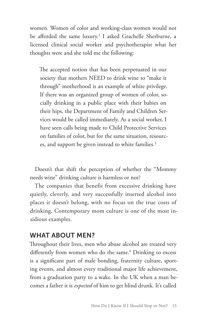women. Women of color and working-class women would not be afforded the same luxury.2 I asked Grachelle Sherburne, a licensed clinical social worker and psychotherapist what her thoughts were and she told me the following:

The accepted notion that has been perpetuated in our society that mothers NEED to drink wine to "make it through" motherhood is an example of white privilege. If there was an organized group of women of color, socially drinking in a public place with their babies on their hips, the Department of Family and Children Services would be called immediately. As a social worker, I have seen calls being made to Child Protective Services on families of color, but for the same situation, resources, and support be given instead to white families.<sup>3</sup>

Doesn't that shift the perception of whether the "Mommy needs wine" drinking culture is harmless or not?

The companies that benefit from excessive drinking have quietly, cleverly, and very successfully inserted alcohol into places it doesn't belong, with no focus on the true costs of drinking. Contemporary mom culture is one of the most insidious examples.

#### WHAT ABOUT MEN?

Throughout their lives, men who abuse alcohol are treated very differently from women who do the same.<sup>4</sup> Drinking to excess is a significant part of male bonding, fraternity culture, sporting events, and almost every traditional major life achievement, from a graduation party to a wake. In the UK when a man becomes a father it is *expected* of him to get blind drunk. It's called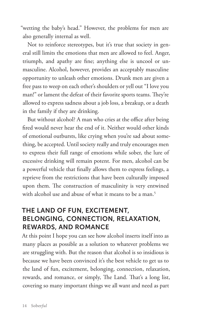"wetting the baby's head." However, the problems for men are also generally internal as well.

Not to reinforce stereotypes, but it's true that society in general still limits the emotions that men are allowed to feel. Anger, triumph, and apathy are fine; anything else is uncool or unmasculine. Alcohol, however, provides an acceptably masculine opportunity to unleash other emotions. Drunk men are given a free pass to weep on each other's shoulders or yell out "I love you man!" or lament the defeat of their favorite sports teams. They're allowed to express sadness about a job loss, a breakup, or a death in the family if they are drinking.

But without alcohol? A man who cries at the office after being fired would never hear the end of it. Neither would other kinds of emotional outbursts, like crying when you're sad about something, be accepted. Until society really and truly encourages men to express their full range of emotions while sober, the lure of excessive drinking will remain potent. For men, alcohol can be a powerful vehicle that finally allows them to express feelings, a reprieve from the restrictions that have been culturally imposed upon them. The construction of masculinity is very entwined with alcohol use and abuse of what it means to be a man.<sup>5</sup>

#### THE LAND OF FUN, EXCITEMENT, BELONGING, CONNECTION, RELAXATION, REWARDS, AND ROMANCE

At this point I hope you can see how alcohol inserts itself into as many places as possible as a solution to whatever problems we are struggling with. But the reason that alcohol is so insidious is because we have been convinced it's the best vehicle to get us to the land of fun, excitement, belonging, connection, relaxation, rewards, and romance, or simply, The Land. That's a long list, covering so many important things we all want and need as part